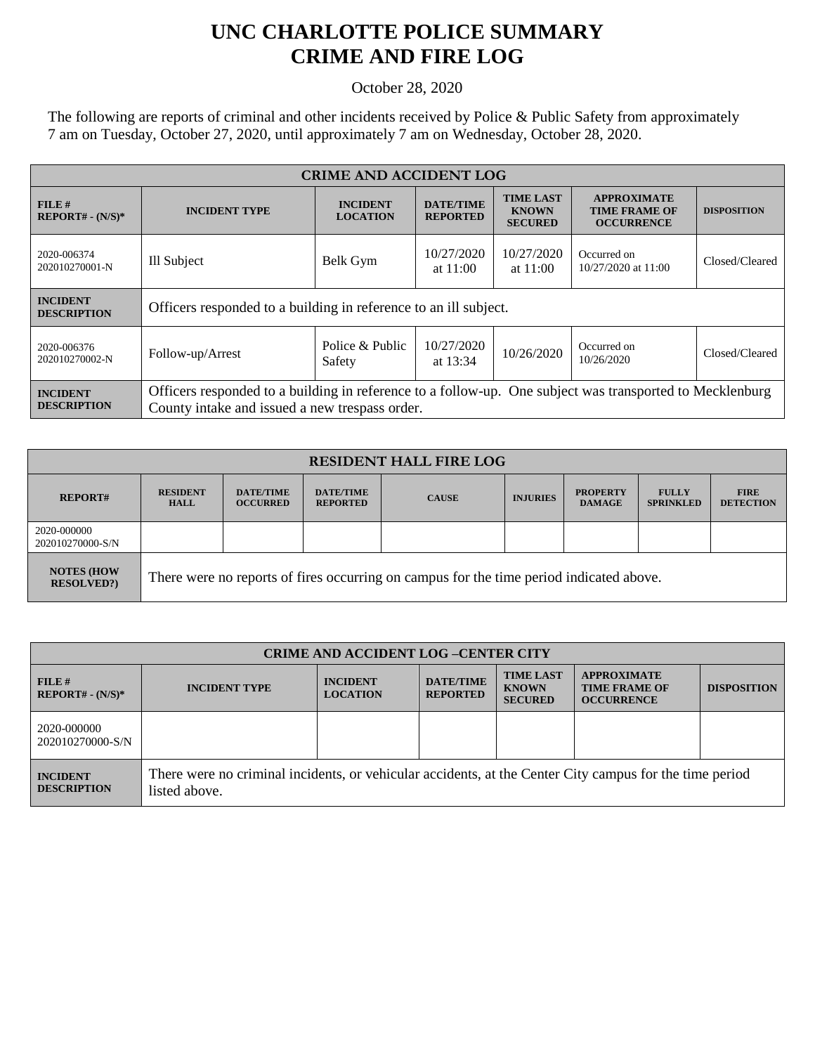## **UNC CHARLOTTE POLICE SUMMARY CRIME AND FIRE LOG**

October 28, 2020

The following are reports of criminal and other incidents received by Police & Public Safety from approximately 7 am on Tuesday, October 27, 2020, until approximately 7 am on Wednesday, October 28, 2020.

| <b>CRIME AND ACCIDENT LOG</b>         |                                                                                                                                                            |                                    |                                     |                                                    |                                                                 |                    |
|---------------------------------------|------------------------------------------------------------------------------------------------------------------------------------------------------------|------------------------------------|-------------------------------------|----------------------------------------------------|-----------------------------------------------------------------|--------------------|
| $FILE$ #<br>$REPORT# - (N/S)*$        | <b>INCIDENT TYPE</b>                                                                                                                                       | <b>INCIDENT</b><br><b>LOCATION</b> | <b>DATE/TIME</b><br><b>REPORTED</b> | <b>TIME LAST</b><br><b>KNOWN</b><br><b>SECURED</b> | <b>APPROXIMATE</b><br><b>TIME FRAME OF</b><br><b>OCCURRENCE</b> | <b>DISPOSITION</b> |
| 2020-006374<br>202010270001-N         | Ill Subject                                                                                                                                                | Belk Gym                           | 10/27/2020<br>at $11:00$            | 10/27/2020<br>at $11:00$                           | Occurred on<br>10/27/2020 at 11:00                              | Closed/Cleared     |
| <b>INCIDENT</b><br><b>DESCRIPTION</b> | Officers responded to a building in reference to an ill subject.                                                                                           |                                    |                                     |                                                    |                                                                 |                    |
| 2020-006376<br>202010270002-N         | Follow-up/Arrest                                                                                                                                           | Police & Public<br>Safety          | 10/27/2020<br>at 13:34              | 10/26/2020                                         | Occurred on<br>10/26/2020                                       | Closed/Cleared     |
| <b>INCIDENT</b><br><b>DESCRIPTION</b> | Officers responded to a building in reference to a follow-up. One subject was transported to Mecklenburg<br>County intake and issued a new trespass order. |                                    |                                     |                                                    |                                                                 |                    |

| <b>RESIDENT HALL FIRE LOG</b>         |                                                                                         |                                     |                                     |              |                 |                                  |                                  |                                 |
|---------------------------------------|-----------------------------------------------------------------------------------------|-------------------------------------|-------------------------------------|--------------|-----------------|----------------------------------|----------------------------------|---------------------------------|
| <b>REPORT#</b>                        | <b>RESIDENT</b><br><b>HALL</b>                                                          | <b>DATE/TIME</b><br><b>OCCURRED</b> | <b>DATE/TIME</b><br><b>REPORTED</b> | <b>CAUSE</b> | <b>INJURIES</b> | <b>PROPERTY</b><br><b>DAMAGE</b> | <b>FULLY</b><br><b>SPRINKLED</b> | <b>FIRE</b><br><b>DETECTION</b> |
| 2020-000000<br>202010270000-S/N       |                                                                                         |                                     |                                     |              |                 |                                  |                                  |                                 |
| <b>NOTES (HOW</b><br><b>RESOLVED?</b> | There were no reports of fires occurring on campus for the time period indicated above. |                                     |                                     |              |                 |                                  |                                  |                                 |

| <b>CRIME AND ACCIDENT LOG-CENTER CITY</b> |                                                                                                                          |                                    |                                     |                                                    |                                                                 |                    |
|-------------------------------------------|--------------------------------------------------------------------------------------------------------------------------|------------------------------------|-------------------------------------|----------------------------------------------------|-----------------------------------------------------------------|--------------------|
| FILE#<br>$REPORT# - (N/S)*$               | <b>INCIDENT TYPE</b>                                                                                                     | <b>INCIDENT</b><br><b>LOCATION</b> | <b>DATE/TIME</b><br><b>REPORTED</b> | <b>TIME LAST</b><br><b>KNOWN</b><br><b>SECURED</b> | <b>APPROXIMATE</b><br><b>TIME FRAME OF</b><br><b>OCCURRENCE</b> | <b>DISPOSITION</b> |
| 2020-000000<br>202010270000-S/N           |                                                                                                                          |                                    |                                     |                                                    |                                                                 |                    |
| <b>INCIDENT</b><br><b>DESCRIPTION</b>     | There were no criminal incidents, or vehicular accidents, at the Center City campus for the time period<br>listed above. |                                    |                                     |                                                    |                                                                 |                    |